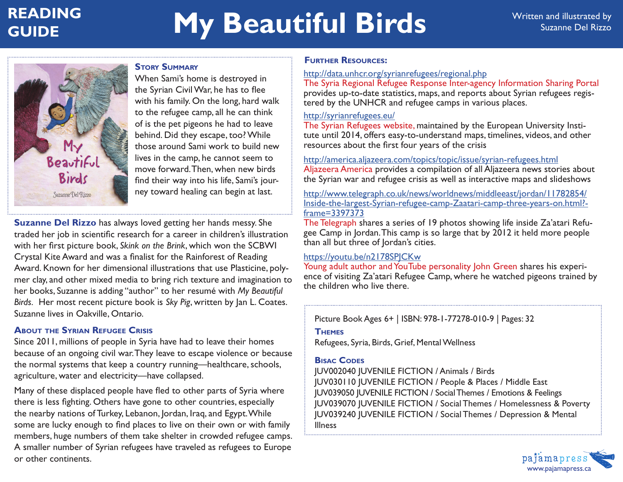## **READING My Beautiful Birds** Written and illustrated by **GUIDE**



**Story Summary** When Sami's home is destroyed in the Syrian Civil War, he has to flee with his family. On the long, hard walk to the refugee camp, all he can think of is the pet pigeons he had to leave behind. Did they escape, too? While those around Sami work to build new lives in the camp, he cannot seem to move forward. Then, when new birds find their way into his life, Sami's journey toward healing can begin at last.

**Suzanne Del Rizzo** has always loved getting her hands messy. She traded her job in scientific research for a career in children's illustration with her first picture book, *Skink on the Brink*, which won the SCBWI Crystal Kite Award and was a finalist for the Rainforest of Reading Award. Known for her dimensional illustrations that use Plasticine, polymer clay, and other mixed media to bring rich texture and imagination to her books, Suzanne is adding "author" to her resumé with *My Beautiful Birds.* Her most recent picture book is *Sky Pig*, written by Jan L. Coates. Suzanne lives in Oakville, Ontario.

## **About the Syrian Refugee Crisis**

Since 2011, millions of people in Syria have had to leave their homes because of an ongoing civil war. They leave to escape violence or because the normal systems that keep a country running—healthcare, schools, agriculture, water and electricity—have collapsed.

Many of these displaced people have fled to other parts of Syria where there is less fighting. Others have gone to other countries, especially the nearby nations of Turkey, Lebanon, Jordan, Iraq, and Egypt. While some are lucky enough to find places to live on their own or with family members, huge numbers of them take shelter in crowded refugee camps. A smaller number of Syrian refugees have traveled as refugees to Europe or other continents.

## **Further Resources:**

#### http://data.unhcr.org/syrianrefugees/regional.php

The Syria Regional Refugee Response Inter-agency Information Sharing Portal provides up-to-date statistics, maps, and reports about Syrian refugees registered by the UNHCR and refugee camps in various places.

#### http://syrianrefugees.eu/

The Syrian Refugees website, maintained by the European University Institute until 2014, offers easy-to-understand maps, timelines, videos, and other resources about the first four years of the crisis

#### http://america.aljazeera.com/topics/topic/issue/syrian-refugees.html

Aljazeera America provides a compilation of all Aljazeera news stories about the Syrian war and refugee crisis as well as interactive maps and slideshows

http://www.telegraph.co.uk/news/worldnews/middleeast/jordan/11782854/ Inside-the-largest-Syrian-refugee-camp-Zaatari-camp-three-years-on.html? frame=3397373

The Telegraph shares a series of 19 photos showing life inside Za'atari Refugee Camp in Jordan. This camp is so large that by 2012 it held more people than all but three of Jordan's cities.

## https://youtu.be/n2178SPJCKw

Young adult author and YouTube personality John Green shares his experience of visiting Za'atari Refugee Camp, where he watched pigeons trained by the children who live there.

Picture Book Ages 6+ | ISBN: 978-1-77278-010-9 | Pages: 32

## **Themes**

Refugees, Syria, Birds, Grief, Mental Wellness

## **Bisac Codes**

JUV002040 JUVENILE FICTION / Animals / Birds JUV030110 JUVENILE FICTION / People & Places / Middle East JUV039050 JUVENILE FICTION / Social Themes / Emotions & Feelings JUV039070 JUVENILE FICTION / Social Themes / Homelessness & Poverty JUV039240 JUVENILE FICTION / Social Themes / Depression & Mental Illness

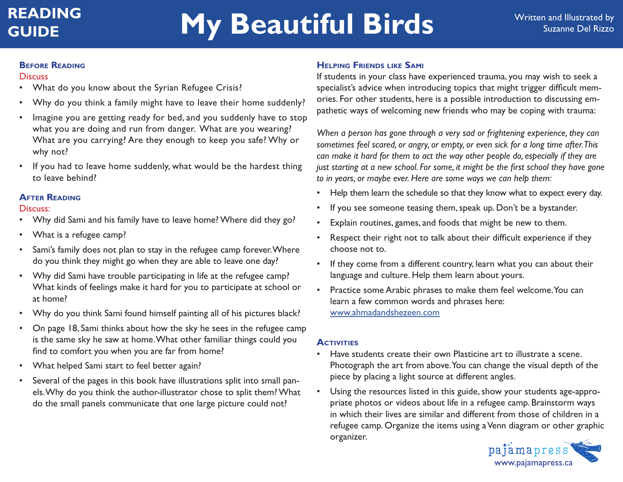# **GUIDE My Beautiful Birds** Written and Illustrated by **GUIDE**

#### **Before Reading**

#### **Discuss**

- What do you know about the Syrian Refugee Crisis?
- Why do you think a family might have to leave their home suddenly?
- Imagine you are getting ready for bed, and you suddenly have to stop what you are doing and run from danger. What are you wearing? What are you carrying? Are they enough to keep you safe? Why or why not?
- If you had to leave home suddenly, what would be the hardest thing to leave behind?

## **After Reading**

#### Discuss:

- Why did Sami and his family have to leave home? Where did they go?
- What is a refugee camp?
- Sami's family does not plan to stay in the refugee camp forever. Where do you think they might go when they are able to leave one day?
- Why did Sami have trouble participating in life at the refugee camp? What kinds of feelings make it hard for you to participate at school or at home?
- Why do you think Sami found himself painting all of his pictures black?
- On page 18, Sami thinks about how the sky he sees in the refugee camp is the same sky he saw at home. What other familiar things could you find to comfort you when you are far from home?
- What helped Sami start to feel better again?
- Several of the pages in this book have illustrations split into small panels. Why do you think the author-illustrator chose to split them? What do the small panels communicate that one large picture could not?

## **Helping Friends like Sami**

If students in your class have experienced trauma, you may wish to seek a specialist's advice when introducing topics that might trigger difficult memories. For other students, here is a possible introduction to discussing empathetic ways of welcoming new friends who may be coping with trauma:

*When a person has gone through a very sad or frightening experience, they can sometimes feel scared, or angry, or empty, or even sick for a long time after. This can make it hard for them to act the way other people do, especially if they are just starting at a new school. For some, it might be the first school they have gone to in years, or maybe ever. Here are some ways we can help them:*

- Help them learn the schedule so that they know what to expect every day.
- If you see someone teasing them, speak up. Don't be a bystander.
- Explain routines, games, and foods that might be new to them.
- Respect their right not to talk about their difficult experience if they choose not to.
- If they come from a different country, learn what you can about their language and culture. Help them learn about yours.
- Practice some Arabic phrases to make them feel welcome. You can learn a few common words and phrases here: www.ahmadandshezeen.com

## **ACTIVITIES**

- Have students create their own Plasticine art to illustrate a scene. Photograph the art from above. You can change the visual depth of the piece by placing a light source at different angles.
- Using the resources listed in this guide, show your students age-appropriate photos or videos about life in a refugee camp. Brainstorm ways in which their lives are similar and different from those of children in a refugee camp. Organize the items using a Venn diagram or other graphic organizer.